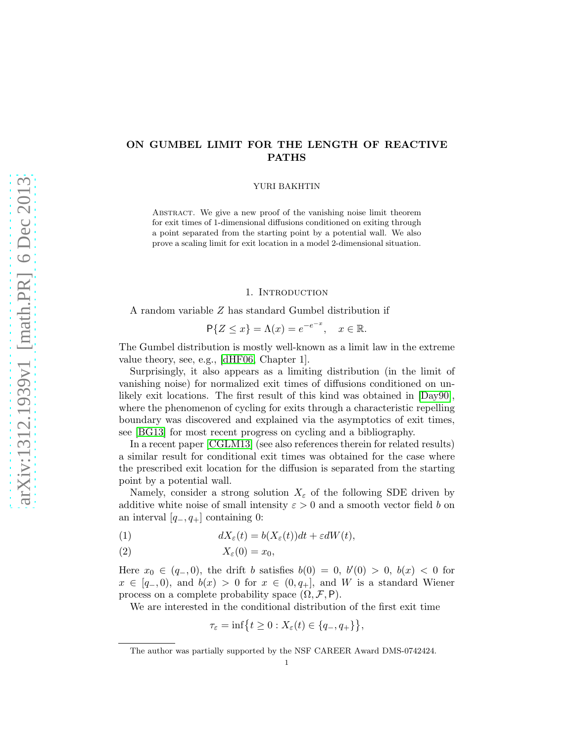# ON GUMBEL LIMIT FOR THE LENGTH OF REACTIVE PATHS

YURI BAKHTIN

Abstract. We give a new proof of the vanishing noise limit theorem for exit times of 1-dimensional diffusions conditioned on exiting through a point separated from the starting point by a potential wall. We also prove a scaling limit for exit location in a model 2-dimensional situation.

## 1. INTRODUCTION

A random variable Z has standard Gumbel distribution if

$$
\mathsf{P}\{Z \le x\} = \Lambda(x) = e^{-e^{-x}}, \quad x \in \mathbb{R}.
$$

The Gumbel distribution is mostly well-known as a limit law in the extreme value theory, see, e.g., [\[dHF06,](#page-10-0) Chapter 1].

Surprisingly, it also appears as a limiting distribution (in the limit of vanishing noise) for normalized exit times of diffusions conditioned on unlikely exit locations. The first result of this kind was obtained in [\[Day90\]](#page-10-1), where the phenomenon of cycling for exits through a characteristic repelling boundary was discovered and explained via the asymptotics of exit times, see [\[BG13\]](#page-10-2) for most recent progress on cycling and a bibliography.

In a recent paper [\[CGLM13\]](#page-10-3) (see also references therein for related results) a similar result for conditional exit times was obtained for the case where the prescribed exit location for the diffusion is separated from the starting point by a potential wall.

Namely, consider a strong solution  $X_{\varepsilon}$  of the following SDE driven by additive white noise of small intensity  $\varepsilon > 0$  and a smooth vector field b on an interval  $[q_-, q_+]$  containing 0:

<span id="page-0-0"></span>(1) 
$$
dX_{\varepsilon}(t) = b(X_{\varepsilon}(t))dt + \varepsilon dW(t),
$$

<span id="page-0-1"></span>
$$
(2) \t\t X_{\varepsilon}(0) = x_0,
$$

Here  $x_0 \in (q_-, 0)$ , the drift b satisfies  $b(0) = 0, b'(0) > 0, b(x) < 0$  for  $x \in [q_-, 0]$ , and  $b(x) > 0$  for  $x \in (0, q_+]$ , and W is a standard Wiener process on a complete probability space  $(\Omega, \mathcal{F}, P)$ .

We are interested in the conditional distribution of the first exit time

$$
\tau_{\varepsilon} = \inf\{t \ge 0 : X_{\varepsilon}(t) \in \{q_-, q_+\}\},\
$$

The author was partially supported by the NSF CAREER Award DMS-0742424.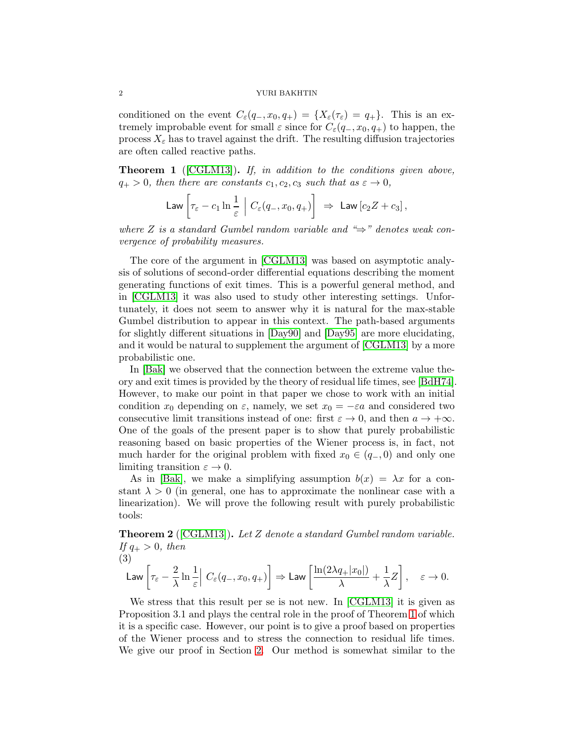conditioned on the event  $C_{\varepsilon}(q_-, x_0, q_+) = \{X_{\varepsilon}(\tau_{\varepsilon}) = q_+\}.$  This is an extremely improbable event for small  $\varepsilon$  since for  $C_{\varepsilon}(q_-, x_0, q_+)$  to happen, the process  $X_{\varepsilon}$  has to travel against the drift. The resulting diffusion trajectories are often called reactive paths.

<span id="page-1-0"></span>Theorem 1 ([\[CGLM13\]](#page-10-3)). If, in addition to the conditions given above,  $q_{+} > 0$ , then there are constants  $c_1, c_2, c_3$  such that as  $\varepsilon \to 0$ ,

$$
\mathsf{Law}\left[\tau_{\varepsilon}-c_1\ln\frac{1}{\varepsilon}\;\Big|\;C_{\varepsilon}(q_-,x_0,q_+)\right] \;\Rightarrow\; \mathsf{Law}\left[c_2Z+c_3\right],
$$

where Z is a standard Gumbel random variable and " $\Rightarrow$ " denotes weak convergence of probability measures.

The core of the argument in [\[CGLM13\]](#page-10-3) was based on asymptotic analysis of solutions of second-order differential equations describing the moment generating functions of exit times. This is a powerful general method, and in [\[CGLM13\]](#page-10-3) it was also used to study other interesting settings. Unfortunately, it does not seem to answer why it is natural for the max-stable Gumbel distribution to appear in this context. The path-based arguments for slightly different situations in [\[Day90\]](#page-10-1) and [\[Day95\]](#page-10-4) are more elucidating, and it would be natural to supplement the argument of [\[CGLM13\]](#page-10-3) by a more probabilistic one.

In [\[Bak\]](#page-10-5) we observed that the connection between the extreme value theory and exit times is provided by the theory of residual life times, see [\[BdH74\]](#page-10-6). However, to make our point in that paper we chose to work with an initial condition  $x_0$  depending on  $\varepsilon$ , namely, we set  $x_0 = -\varepsilon a$  and considered two consecutive limit transitions instead of one: first  $\varepsilon \to 0$ , and then  $a \to +\infty$ . One of the goals of the present paper is to show that purely probabilistic reasoning based on basic properties of the Wiener process is, in fact, not much harder for the original problem with fixed  $x_0 \in (q_-, 0)$  and only one limiting transition  $\varepsilon \to 0$ .

As in [\[Bak\]](#page-10-5), we make a simplifying assumption  $b(x) = \lambda x$  for a constant  $\lambda > 0$  (in general, one has to approximate the nonlinear case with a linearization). We will prove the following result with purely probabilistic tools:

<span id="page-1-1"></span>**Theorem 2** ( $[CGLM13]$ ). Let Z denote a standard Gumbel random variable. If  $q_+ > 0$ , then

$$
(3) \quad
$$

<span id="page-1-2"></span>
$$
\mathsf{Law}\left[\tau_{\varepsilon}-\frac{2}{\lambda}\ln\frac{1}{\varepsilon}\right]\,C_{\varepsilon}(q_-,x_0,q_+)\right]\Rightarrow\mathsf{Law}\left[\frac{\ln(2\lambda q_+|x_0|)}{\lambda}+\frac{1}{\lambda}Z\right],\quad \varepsilon\to 0.
$$

We stress that this result per se is not new. In [\[CGLM13\]](#page-10-3) it is given as Proposition 3.1 and plays the central role in the proof of Theorem [1](#page-1-0) of which it is a specific case. However, our point is to give a proof based on properties of the Wiener process and to stress the connection to residual life times. We give our proof in Section [2.](#page-4-0) Our method is somewhat similar to the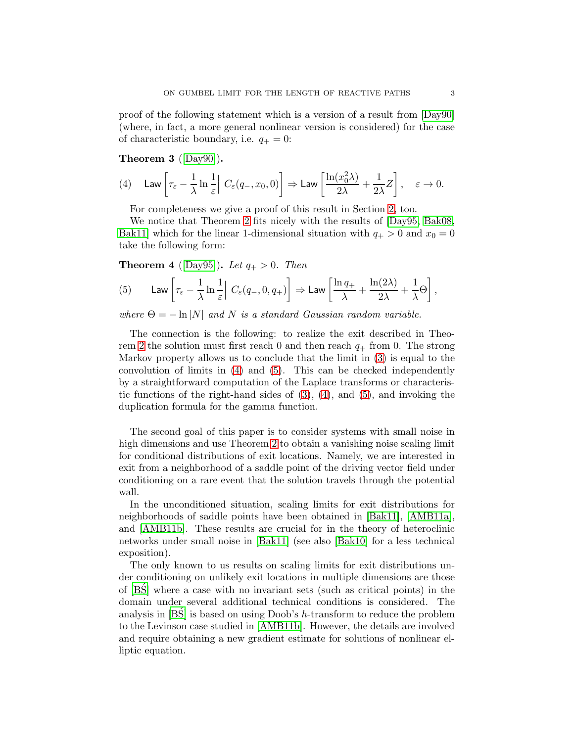proof of the following statement which is a version of a result from [\[Day90\]](#page-10-1) (where, in fact, a more general nonlinear version is considered) for the case of characteristic boundary, i.e.  $q_{+} = 0$ :

<span id="page-2-2"></span>Theorem 3 ([\[Day90\]](#page-10-1)).

<span id="page-2-0"></span>
$$
(4) \quad \mathsf{Law}\left[\tau_{\varepsilon}-\frac{1}{\lambda}\ln\frac{1}{\varepsilon}\right]\,C_{\varepsilon}(q_-,x_0,0)\right]\Rightarrow\mathsf{Law}\left[\frac{\ln(x_0^2\lambda)}{2\lambda}+\frac{1}{2\lambda}Z\right],\quad \varepsilon\to 0.
$$

For completeness we give a proof of this result in Section [2,](#page-4-0) too.

We notice that Theorem [2](#page-1-1) fits nicely with the results of [\[Day95,](#page-10-4) [Bak08,](#page-10-7) [Bak11\]](#page-10-8) which for the linear 1-dimensional situation with  $q_+ > 0$  and  $x_0 = 0$ take the following form:

**Theorem 4** ([\[Day95\]](#page-10-4)). Let  $q_+ > 0$ . Then

<span id="page-2-1"></span>(5) Law 
$$
\left[\tau_{\varepsilon} - \frac{1}{\lambda} \ln \frac{1}{\varepsilon} \right] C_{\varepsilon}(q_-, 0, q_+) \right] \Rightarrow \text{Law } \left[\frac{\ln q_+}{\lambda} + \frac{\ln(2\lambda)}{2\lambda} + \frac{1}{\lambda} \Theta \right],
$$

where  $\Theta = -\ln|N|$  and N is a standard Gaussian random variable.

The connection is the following: to realize the exit described in Theo-rem [2](#page-1-1) the solution must first reach 0 and then reach  $q_+$  from 0. The strong Markov property allows us to conclude that the limit in [\(3\)](#page-1-2) is equal to the convolution of limits in [\(4\)](#page-2-0) and [\(5\)](#page-2-1). This can be checked independently by a straightforward computation of the Laplace transforms or characteristic functions of the right-hand sides of  $(3)$ ,  $(4)$ , and  $(5)$ , and invoking the duplication formula for the gamma function.

The second goal of this paper is to consider systems with small noise in high dimensions and use Theorem [2](#page-1-1) to obtain a vanishing noise scaling limit for conditional distributions of exit locations. Namely, we are interested in exit from a neighborhood of a saddle point of the driving vector field under conditioning on a rare event that the solution travels through the potential wall.

In the unconditioned situation, scaling limits for exit distributions for neighborhoods of saddle points have been obtained in [\[Bak11\]](#page-10-8), [\[AMB11a\]](#page-10-9), and [\[AMB11b\]](#page-10-10). These results are crucial for in the theory of heteroclinic networks under small noise in [\[Bak11\]](#page-10-8) (see also [\[Bak10\]](#page-10-11) for a less technical exposition).

The only known to us results on scaling limits for exit distributions under conditioning on unlikely exit locations in multiple dimensions are those of  $[BS]$  where a case with no invariant sets (such as critical points) in the domain under several additional technical conditions is considered. The analysis in  $[BS]$  is based on using Doob's h-transform to reduce the problem to the Levinson case studied in [\[AMB11b\]](#page-10-10). However, the details are involved and require obtaining a new gradient estimate for solutions of nonlinear elliptic equation.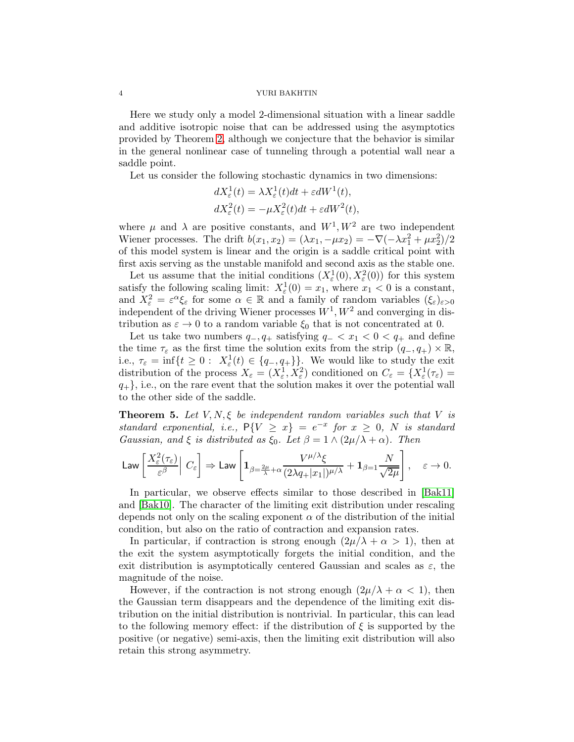Here we study only a model 2-dimensional situation with a linear saddle and additive isotropic noise that can be addressed using the asymptotics provided by Theorem [2,](#page-1-1) although we conjecture that the behavior is similar in the general nonlinear case of tunneling through a potential wall near a saddle point.

Let us consider the following stochastic dynamics in two dimensions:

$$
dX_{\varepsilon}^{1}(t) = \lambda X_{\varepsilon}^{1}(t)dt + \varepsilon dW^{1}(t),
$$
  

$$
dX_{\varepsilon}^{2}(t) = -\mu X_{\varepsilon}^{2}(t)dt + \varepsilon dW^{2}(t),
$$

where  $\mu$  and  $\lambda$  are positive constants, and  $W^1, W^2$  are two independent Wiener processes. The drift  $b(x_1, x_2) = (\lambda x_1, -\mu x_2) = -\nabla(-\lambda x_1^2 + \mu x_2^2)/2$ of this model system is linear and the origin is a saddle critical point with first axis serving as the unstable manifold and second axis as the stable one.

Let us assume that the initial conditions  $(X_{\varepsilon}^1(0), X_{\varepsilon}^2(0))$  for this system satisfy the following scaling limit:  $X_{\varepsilon}^1(0) = x_1$ , where  $x_1 < 0$  is a constant, and  $X_{\varepsilon}^2 = \varepsilon^{\alpha} \xi_{\varepsilon}$  for some  $\alpha \in \mathbb{R}$  and a family of random variables  $(\xi_{\varepsilon})_{\varepsilon > 0}$ independent of the driving Wiener processes  $W^1, W^2$  and converging in distribution as  $\varepsilon \to 0$  to a random variable  $\xi_0$  that is not concentrated at 0.

Let us take two numbers  $q_-, q_+$  satisfying  $q_- < x_1 < 0 < q_+$  and define the time  $\tau_{\varepsilon}$  as the first time the solution exits from the strip  $(q_-, q_+) \times \mathbb{R}$ , i.e.,  $\tau_{\varepsilon} = \inf\{t \geq 0: X_{\varepsilon}^1(t) \in \{q_-, q_+\}\}\.$  We would like to study the exit distribution of the process  $X_{\varepsilon} = (X_{\varepsilon}^1, X_{\varepsilon}^2)$  conditioned on  $C_{\varepsilon} = \{X_{\varepsilon}^1(\tau_{\varepsilon}) =$  $q_{+}$ , i.e., on the rare event that the solution makes it over the potential wall to the other side of the saddle.

<span id="page-3-0"></span>**Theorem 5.** Let  $V, N, \xi$  be independent random variables such that V is standard exponential, i.e.,  $P\{V \ge x\} = e^{-x}$  for  $x \ge 0$ , N is standard Gaussian, and  $\xi$  is distributed as  $\xi_0$ . Let  $\beta = 1 \wedge (2\mu/\lambda + \alpha)$ . Then

$$
\mathsf{Law}\left[\frac{X_\varepsilon^2(\tau_\varepsilon)}{\varepsilon^\beta}\Big|\ C_\varepsilon\right] \Rightarrow \mathsf{Law}\left[\mathbf{1}_{\beta=\frac{2\mu}{\lambda}+\alpha}\frac{V^{\mu/\lambda}\xi}{(2\lambda q+|x_1|)^{\mu/\lambda}}+\mathbf{1}_{\beta=1}\frac{N}{\sqrt{2\mu}}\right],\quad \varepsilon\to 0.
$$

In particular, we observe effects similar to those described in [\[Bak11\]](#page-10-8) and [\[Bak10\]](#page-10-11). The character of the limiting exit distribution under rescaling depends not only on the scaling exponent  $\alpha$  of the distribution of the initial condition, but also on the ratio of contraction and expansion rates.

In particular, if contraction is strong enough  $(2\mu/\lambda + \alpha > 1)$ , then at the exit the system asymptotically forgets the initial condition, and the exit distribution is asymptotically centered Gaussian and scales as  $\varepsilon$ , the magnitude of the noise.

However, if the contraction is not strong enough  $(2\mu/\lambda + \alpha < 1)$ , then the Gaussian term disappears and the dependence of the limiting exit distribution on the initial distribution is nontrivial. In particular, this can lead to the following memory effect: if the distribution of  $\xi$  is supported by the positive (or negative) semi-axis, then the limiting exit distribution will also retain this strong asymmetry.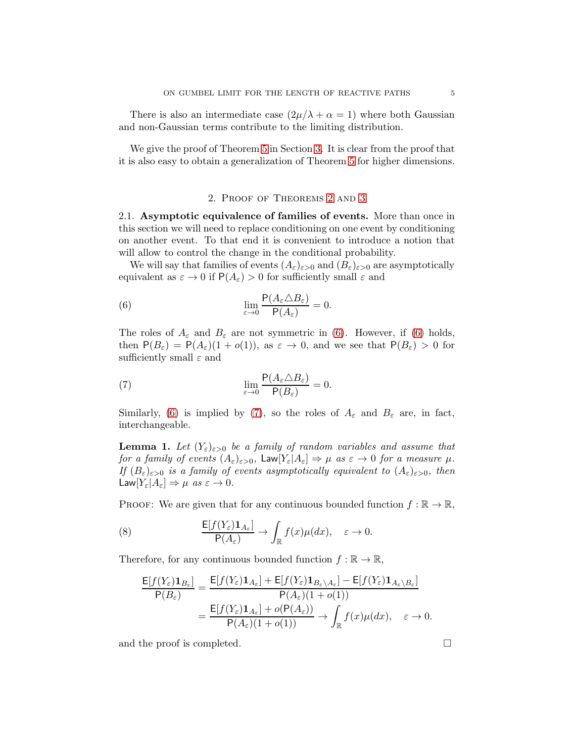There is also an intermediate case  $(2\mu/\lambda + \alpha = 1)$  where both Gaussian and non-Gaussian terms contribute to the limiting distribution.

We give the proof of Theorem [5](#page-3-0) in Section [3.](#page-9-0) It is clear from the proof that it is also easy to obtain a generalization of Theorem [5](#page-3-0) for higher dimensions.

## <span id="page-4-1"></span>2. Proof of Theorems [2](#page-1-1) and [3](#page-2-2)

<span id="page-4-0"></span>2.1. Asymptotic equivalence of families of events. More than once in this section we will need to replace conditioning on one event by conditioning on another event. To that end it is convenient to introduce a notion that will allow to control the change in the conditional probability.

We will say that families of events  $(A_{\varepsilon})_{\varepsilon>0}$  and  $(B_{\varepsilon})_{\varepsilon>0}$  are asymptotically equivalent as  $\varepsilon \to 0$  if  $P(A_{\varepsilon}) > 0$  for sufficiently small  $\varepsilon$  and

(6) 
$$
\lim_{\varepsilon \to 0} \frac{\mathsf{P}(A_{\varepsilon} \triangle B_{\varepsilon})}{\mathsf{P}(A_{\varepsilon})} = 0.
$$

The roles of  $A_{\varepsilon}$  and  $B_{\varepsilon}$  are not symmetric in [\(6\)](#page-4-1). However, if (6) holds, then  $P(B_{\varepsilon}) = P(A_{\varepsilon})(1 + o(1))$ , as  $\varepsilon \to 0$ , and we see that  $P(B_{\varepsilon}) > 0$  for sufficiently small  $\varepsilon$  and

<span id="page-4-2"></span>(7) 
$$
\lim_{\varepsilon \to 0} \frac{\mathsf{P}(A_{\varepsilon} \triangle B_{\varepsilon})}{\mathsf{P}(B_{\varepsilon})} = 0.
$$

Similarly, [\(6\)](#page-4-1) is implied by [\(7\)](#page-4-2), so the roles of  $A_{\varepsilon}$  and  $B_{\varepsilon}$  are, in fact, interchangeable.

<span id="page-4-3"></span>**Lemma 1.** Let  $(Y_{\varepsilon})_{\varepsilon>0}$  be a family of random variables and assume that for a family of events  $(A_{\varepsilon})_{\varepsilon>0}$ ,  $\text{Law}[Y_{\varepsilon}|A_{\varepsilon}] \Rightarrow \mu$  as  $\varepsilon \to 0$  for a measure  $\mu$ . If  $(B_{\varepsilon})_{\varepsilon>0}$  is a family of events asymptotically equivalent to  $(A_{\varepsilon})_{\varepsilon>0}$ , then Law $[Y_{\varepsilon}|A_{\varepsilon}]\Rightarrow \mu \text{ as } \varepsilon \to 0.$ 

PROOF: We are given that for any continuous bounded function  $f : \mathbb{R} \to \mathbb{R}$ ,

(8) 
$$
\frac{\mathsf{E}[f(Y_{\varepsilon})\mathbf{1}_{A_{\varepsilon}}]}{\mathsf{P}(A_{\varepsilon})} \to \int_{\mathbb{R}} f(x) \mu(dx), \quad \varepsilon \to 0.
$$

Therefore, for any continuous bounded function  $f : \mathbb{R} \to \mathbb{R}$ ,

$$
\frac{\mathsf{E}[f(Y_{\varepsilon})\mathbf{1}_{B_{\varepsilon}}]}{\mathsf{P}(B_{\varepsilon})} = \frac{\mathsf{E}[f(Y_{\varepsilon})\mathbf{1}_{A_{\varepsilon}}] + \mathsf{E}[f(Y_{\varepsilon})\mathbf{1}_{B_{\varepsilon}\setminus A_{\varepsilon}}] - \mathsf{E}[f(Y_{\varepsilon})\mathbf{1}_{A_{\varepsilon}\setminus B_{\varepsilon}}]}{\mathsf{P}(A_{\varepsilon})(1+o(1))} \\ = \frac{\mathsf{E}[f(Y_{\varepsilon})\mathbf{1}_{A_{\varepsilon}}] + o(\mathsf{P}(A_{\varepsilon}))}{\mathsf{P}(A_{\varepsilon})(1+o(1))} \to \int_{\mathbb{R}} f(x)\mu(dx), \quad \varepsilon \to 0.
$$

and the proof is completed.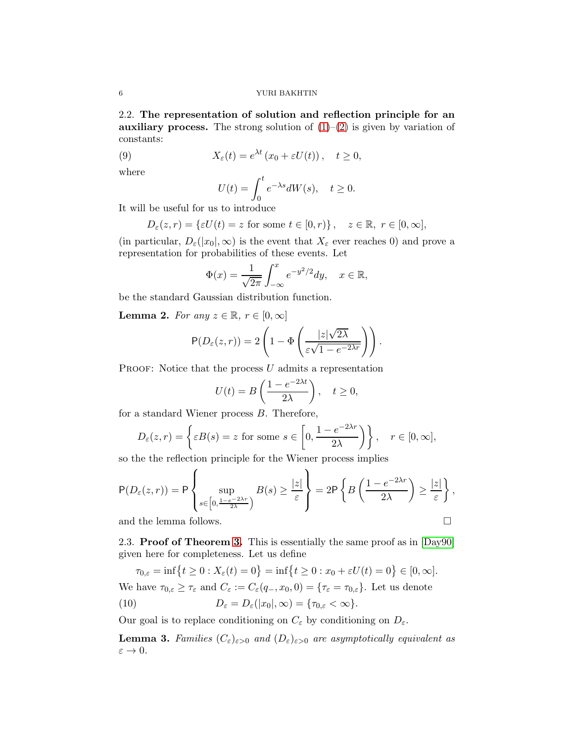2.2. The representation of solution and reflection principle for an auxiliary process. The strong solution of  $(1)$ – $(2)$  is given by variation of constants:

(9) 
$$
X_{\varepsilon}(t) = e^{\lambda t} (x_0 + \varepsilon U(t)), \quad t \ge 0,
$$

where

<span id="page-5-2"></span>
$$
U(t) = \int_0^t e^{-\lambda s} dW(s), \quad t \ge 0.
$$

It will be useful for us to introduce

$$
D_{\varepsilon}(z,r) = {\varepsilon U(t) = z \text{ for some } t \in [0,r) }, \quad z \in \mathbb{R}, r \in [0,\infty],
$$

(in particular,  $D_{\varepsilon}(|x_0|,\infty)$  is the event that  $X_{\varepsilon}$  ever reaches 0) and prove a representation for probabilities of these events. Let

$$
\Phi(x) = \frac{1}{\sqrt{2\pi}} \int_{-\infty}^{x} e^{-y^2/2} dy, \quad x \in \mathbb{R},
$$

be the standard Gaussian distribution function.

<span id="page-5-0"></span>**Lemma 2.** For any  $z \in \mathbb{R}$ ,  $r \in [0, \infty]$ 

$$
P(D_{\varepsilon}(z,r)) = 2\left(1 - \Phi\left(\frac{|z|\sqrt{2\lambda}}{\varepsilon\sqrt{1 - e^{-2\lambda r}}}\right)\right).
$$

PROOF: Notice that the process  $U$  admits a representation

$$
U(t) = B\left(\frac{1 - e^{-2\lambda t}}{2\lambda}\right), \quad t \ge 0,
$$

for a standard Wiener process B. Therefore,

$$
D_{\varepsilon}(z,r) = \left\{ \varepsilon B(s) = z \text{ for some } s \in \left[0, \frac{1 - e^{-2\lambda r}}{2\lambda}\right) \right\}, \quad r \in [0, \infty],
$$

so the the reflection principle for the Wiener process implies

$$
P(D_{\varepsilon}(z,r)) = P\left\{\sup_{s \in \left[0, \frac{1-e^{-2\lambda r}}{2\lambda}\right)} B(s) \ge \frac{|z|}{\varepsilon}\right\} = 2P\left\{B\left(\frac{1-e^{-2\lambda r}}{2\lambda}\right) \ge \frac{|z|}{\varepsilon}\right\},\
$$

 $\lambda$ 

<span id="page-5-3"></span>and the lemma follows.

2.3. **Proof of Theorem [3.](#page-2-2)** This is essentially the same proof as in [\[Day90\]](#page-10-1) given here for completeness. Let us define

<span id="page-5-4"></span> $\tau_{0,\varepsilon} = \inf\{t \ge 0 : X_{\varepsilon}(t) = 0\} = \inf\{t \ge 0 : x_0 + \varepsilon U(t) = 0\} \in [0,\infty].$ 

We have  $\tau_{0,\varepsilon} \geq \tau_{\varepsilon}$  and  $C_{\varepsilon} := C_{\varepsilon}(q_-, x_0, 0) = {\tau_{\varepsilon}} = \tau_{0,\varepsilon}$ . Let us denote

(10) 
$$
D_{\varepsilon} = D_{\varepsilon}(|x_0|, \infty) = {\tau_{0,\varepsilon} < \infty}.
$$

Our goal is to replace conditioning on  $C_{\varepsilon}$  by conditioning on  $D_{\varepsilon}$ .

<span id="page-5-1"></span>**Lemma 3.** Families  $(C_{\varepsilon})_{\varepsilon>0}$  and  $(D_{\varepsilon})_{\varepsilon>0}$  are asymptotically equivalent as  $\varepsilon \to 0$ .

$$
\qquad \qquad \Box
$$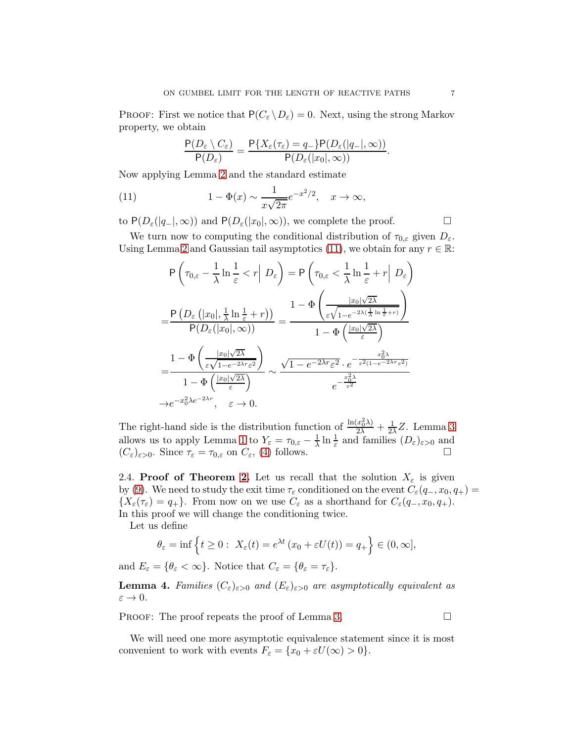PROOF: First we notice that  $P(C_{\varepsilon} \setminus D_{\varepsilon}) = 0$ . Next, using the strong Markov property, we obtain

<span id="page-6-0"></span>
$$
\frac{\mathsf{P}(D_{\varepsilon}\setminus C_{\varepsilon})}{\mathsf{P}(D_{\varepsilon})}=\frac{\mathsf{P}\{X_{\varepsilon}(\tau_{\varepsilon})=q_{-}\}\mathsf{P}(D_{\varepsilon}(|q_{-}|,\infty))}{\mathsf{P}(D_{\varepsilon}(|x_{0}|,\infty))}.
$$

Now applying Lemma [2](#page-5-0) and the standard estimate

(11) 
$$
1 - \Phi(x) \sim \frac{1}{x\sqrt{2\pi}} e^{-x^2/2}, \quad x \to \infty,
$$

to  $P(D_{\varepsilon}(|q_{-}|,\infty))$  and  $P(D_{\varepsilon}(|x_0|,\infty))$ , we complete the proof.

We turn now to computing the conditional distribution of  $\tau_{0,\varepsilon}$  given  $D_{\varepsilon}$ . Using Lemma [2](#page-5-0) and Gaussian tail asymptotics [\(11\)](#page-6-0), we obtain for any  $r \in \mathbb{R}$ :

$$
P\left(\tau_{0,\varepsilon} - \frac{1}{\lambda} \ln \frac{1}{\varepsilon} < r \middle| D_{\varepsilon}\right) = P\left(\tau_{0,\varepsilon} < \frac{1}{\lambda} \ln \frac{1}{\varepsilon} + r \middle| D_{\varepsilon}\right)
$$
\n
$$
= \frac{P\left(D_{\varepsilon}\left(|x_{0}|, \frac{1}{\lambda} \ln \frac{1}{\varepsilon} + r\right)\right)}{P(D_{\varepsilon}(|x_{0}|, \infty))} = \frac{1 - \Phi\left(\frac{|x_{0}|\sqrt{2\lambda}}{\varepsilon\sqrt{1 - e^{-2\lambda(\frac{1}{\lambda} \ln \frac{1}{\varepsilon} + r)}}\right)}{1 - \Phi\left(\frac{|x_{0}|\sqrt{2\lambda}}{\varepsilon}\right)}
$$
\n
$$
= \frac{1 - \Phi\left(\frac{|x_{0}|\sqrt{2\lambda}}{\varepsilon\sqrt{1 - e^{-2\lambda r}\varepsilon^{2}}}\right)}{1 - \Phi\left(\frac{|x_{0}|\sqrt{2\lambda}}{\varepsilon}\right)} \sim \frac{\sqrt{1 - e^{-2\lambda r}\varepsilon^{2}} \cdot e^{-\frac{x_{0}^{2\lambda}}{\varepsilon^{2}(1 - e^{-2\lambda r}\varepsilon^{2})}}}{e^{-\frac{x_{0}^{2\lambda}}{\varepsilon^{2}}}}
$$
\n
$$
\to e^{-x_{0}^{2}\lambda e^{-2\lambda r}}, \quad \varepsilon \to 0.
$$

The right-hand side is the distribution function of  $\frac{\ln(x_0^2 \lambda)}{2\lambda} + \frac{1}{2\lambda}Z$ . Lemma [3](#page-5-1) allows us to apply Lemma [1](#page-4-3) to  $Y_{\varepsilon} = \tau_{0,\varepsilon} - \frac{1}{\lambda}$  $\frac{1}{\lambda} \ln \frac{1}{\varepsilon}$  and families  $(D_{\varepsilon})_{\varepsilon > 0}$  and  $(C_{\varepsilon})_{\varepsilon>0}$ . Since  $\tau_{\varepsilon} = \tau_{0,\varepsilon}$  on  $C_{\varepsilon}$ , [\(4\)](#page-2-0) follows.

2.4. Proof of Theorem [2.](#page-1-1) Let us recall that the solution  $X_{\varepsilon}$  is given by [\(9\)](#page-5-2). We need to study the exit time  $\tau_{\varepsilon}$  conditioned on the event  $C_{\varepsilon}(q_-, x_0, q_+)$  =  ${X_{\varepsilon}(\tau_{\varepsilon}) = q_+}.$  From now on we use  $C_{\varepsilon}$  as a shorthand for  $C_{\varepsilon}(q_-, x_0, q_+).$ In this proof we will change the conditioning twice.

Let us define

$$
\theta_{\varepsilon} = \inf \left\{ t \ge 0 : X_{\varepsilon}(t) = e^{\lambda t} (x_0 + \varepsilon U(t)) = q_+ \right\} \in (0, \infty],
$$

and  $E_{\varepsilon} = {\theta_{\varepsilon} < \infty}$ . Notice that  $C_{\varepsilon} = {\theta_{\varepsilon} = \tau_{\varepsilon}}$ .

<span id="page-6-1"></span>**Lemma 4.** Families  $(C_{\varepsilon})_{\varepsilon>0}$  and  $(E_{\varepsilon})_{\varepsilon>0}$  are asymptotically equivalent as  $\varepsilon \to 0.$ 

PROOF: The proof repeats the proof of Lemma [3.](#page-5-1)

We will need one more asymptotic equivalence statement since it is most convenient to work with events  $F_{\varepsilon} = \{x_0 + \varepsilon U(\infty) > 0\}.$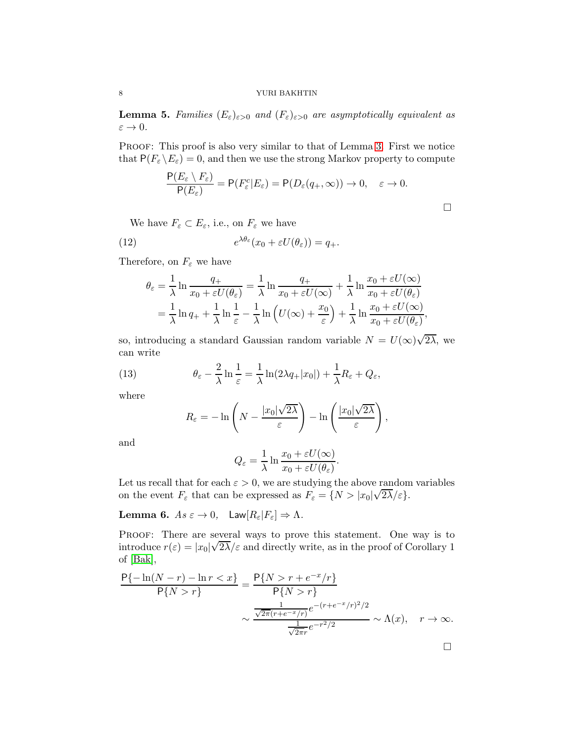<span id="page-7-3"></span>**Lemma 5.** Families  $(E_{\varepsilon})_{\varepsilon>0}$  and  $(F_{\varepsilon})_{\varepsilon>0}$  are asymptotically equivalent as  $\varepsilon \to 0$ .

PROOF: This proof is also very similar to that of Lemma [3.](#page-5-1) First we notice that  $P(F_{\varepsilon} \backslash E_{\varepsilon}) = 0$ , and then we use the strong Markov property to compute

<span id="page-7-1"></span>
$$
\frac{\mathsf{P}(E_{\varepsilon} \setminus F_{\varepsilon})}{\mathsf{P}(E_{\varepsilon})} = \mathsf{P}(F_{\varepsilon}^{c} | E_{\varepsilon}) = \mathsf{P}(D_{\varepsilon}(q_{+}, \infty)) \to 0, \quad \varepsilon \to 0.
$$

We have  $F_{\varepsilon} \subset E_{\varepsilon}$ , i.e., on  $F_{\varepsilon}$  we have

(12) 
$$
e^{\lambda \theta_{\varepsilon}}(x_0 + \varepsilon U(\theta_{\varepsilon})) = q_+.
$$

Therefore, on  $F_{\varepsilon}$  we have

$$
\theta_{\varepsilon} = \frac{1}{\lambda} \ln \frac{q_{+}}{x_{0} + \varepsilon U(\theta_{\varepsilon})} = \frac{1}{\lambda} \ln \frac{q_{+}}{x_{0} + \varepsilon U(\infty)} + \frac{1}{\lambda} \ln \frac{x_{0} + \varepsilon U(\infty)}{x_{0} + \varepsilon U(\theta_{\varepsilon})}
$$

$$
= \frac{1}{\lambda} \ln q_{+} + \frac{1}{\lambda} \ln \frac{1}{\varepsilon} - \frac{1}{\lambda} \ln \left( U(\infty) + \frac{x_{0}}{\varepsilon} \right) + \frac{1}{\lambda} \ln \frac{x_{0} + \varepsilon U(\infty)}{x_{0} + \varepsilon U(\theta_{\varepsilon})},
$$

so, introducing a standard Gaussian random variable  $N = U(\infty)\sqrt{2\lambda}$ , we can write

(13) 
$$
\theta_{\varepsilon} - \frac{2}{\lambda} \ln \frac{1}{\varepsilon} = \frac{1}{\lambda} \ln(2\lambda q_{+}|x_{0}|) + \frac{1}{\lambda} R_{\varepsilon} + Q_{\varepsilon},
$$

where

<span id="page-7-2"></span>
$$
R_{\varepsilon} = -\ln\left(N - \frac{|x_0|\sqrt{2\lambda}}{\varepsilon}\right) - \ln\left(\frac{|x_0|\sqrt{2\lambda}}{\varepsilon}\right),
$$

and

$$
Q_{\varepsilon} = \frac{1}{\lambda} \ln \frac{x_0 + \varepsilon U(\infty)}{x_0 + \varepsilon U(\theta_{\varepsilon})}.
$$

Let us recall that for each  $\varepsilon > 0$ , we are studying the above random variables on the event  $F_{\varepsilon}$  that can be expressed as  $F_{\varepsilon} = \{N > |x_0|\sqrt{2\lambda}/\varepsilon\}.$ 

<span id="page-7-0"></span>Lemma 6.  $As \varepsilon \to 0$ , Law $[R_{\varepsilon}|F_{\varepsilon}] \Rightarrow \Lambda$ .

PROOF: There are several ways to prove this statement. One way is to introduce  $r(\varepsilon) = |x_0|\sqrt{2\lambda}/\varepsilon$  and directly write, as in the proof of Corollary 1 of [\[Bak\]](#page-10-5),

$$
\frac{P\{-\ln(N-r) - \ln r < x\}}{P\{N > r\}} = \frac{P\{N > r + e^{-x}/r\}}{P\{N > r\}} \\
\sim \frac{\frac{1}{\sqrt{2\pi}(r + e^{-x}/r)}e^{-(r + e^{-x}/r)^2/2}}{\frac{1}{\sqrt{2\pi}r}e^{-r^2/2}} \sim \Lambda(x), \quad r \to \infty.
$$

 $\Box$ 

 $\Box$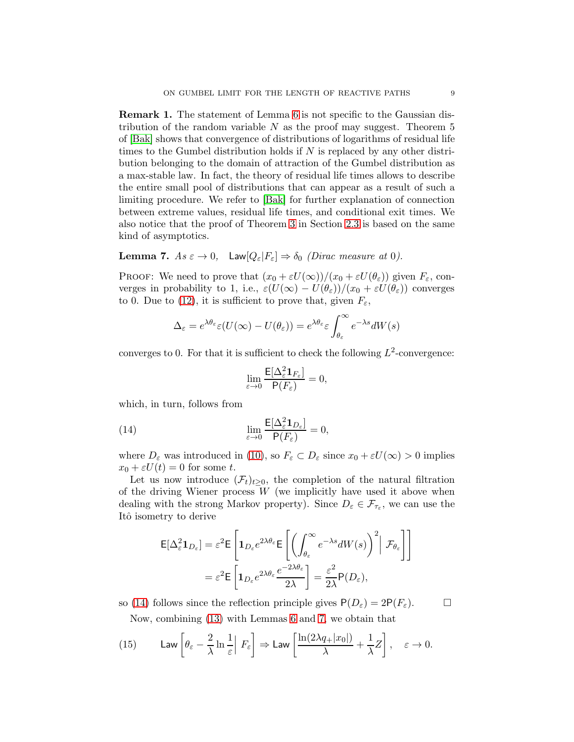Remark 1. The statement of Lemma [6](#page-7-0) is not specific to the Gaussian distribution of the random variable  $N$  as the proof may suggest. Theorem 5 of [\[Bak\]](#page-10-5) shows that convergence of distributions of logarithms of residual life times to the Gumbel distribution holds if  $N$  is replaced by any other distribution belonging to the domain of attraction of the Gumbel distribution as a max-stable law. In fact, the theory of residual life times allows to describe the entire small pool of distributions that can appear as a result of such a limiting procedure. We refer to [\[Bak\]](#page-10-5) for further explanation of connection between extreme values, residual life times, and conditional exit times. We also notice that the proof of Theorem [3](#page-2-2) in Section [2.3](#page-5-3) is based on the same kind of asymptotics.

<span id="page-8-1"></span>**Lemma 7.**  $As \varepsilon \to 0$ , Law $[Q_{\varepsilon}|F_{\varepsilon}] \Rightarrow \delta_0$  (Dirac measure at 0).

PROOF: We need to prove that  $(x_0 + \varepsilon U(\infty))/(x_0 + \varepsilon U(\theta_\varepsilon))$  given  $F_\varepsilon$ , converges in probability to 1, i.e.,  $\varepsilon(U(\infty) - U(\theta_{\varepsilon}))/((x_0 + \varepsilon U(\theta_{\varepsilon}))$  converges to 0. Due to [\(12\)](#page-7-1), it is sufficient to prove that, given  $F_{\varepsilon}$ ,

$$
\Delta_{\varepsilon} = e^{\lambda \theta_{\varepsilon}} \varepsilon (U(\infty) - U(\theta_{\varepsilon})) = e^{\lambda \theta_{\varepsilon}} \varepsilon \int_{\theta_{\varepsilon}}^{\infty} e^{-\lambda s} dW(s)
$$

converges to 0. For that it is sufficient to check the following  $L^2$ -convergence:

<span id="page-8-0"></span>
$$
\lim_{\varepsilon\to 0}\frac{\mathsf{E}[\Delta_\varepsilon^2\mathbf{1}_{F_\varepsilon}]}{\mathsf{P}(F_\varepsilon)}=0,
$$

which, in turn, follows from

(14) 
$$
\lim_{\varepsilon \to 0} \frac{\mathsf{E}[\Delta_{\varepsilon}^2 \mathbf{1}_{D_{\varepsilon}}]}{\mathsf{P}(F_{\varepsilon})} = 0,
$$

where  $D_{\varepsilon}$  was introduced in [\(10\)](#page-5-4), so  $F_{\varepsilon} \subset D_{\varepsilon}$  since  $x_0 + \varepsilon U(\infty) > 0$  implies  $x_0 + \varepsilon U(t) = 0$  for some t.

Let us now introduce  $(\mathcal{F}_t)_{t>0}$ , the completion of the natural filtration of the driving Wiener process  $W$  (we implicitly have used it above when dealing with the strong Markov property). Since  $D_{\varepsilon} \in \mathcal{F}_{\tau_{\varepsilon}}$ , we can use the Itô isometry to derive

$$
\mathsf{E}[\Delta_{\varepsilon}^{2} \mathbf{1}_{D_{\varepsilon}}] = \varepsilon^{2} \mathsf{E} \left[ \mathbf{1}_{D_{\varepsilon}} e^{2\lambda \theta_{\varepsilon}} \mathsf{E} \left[ \left( \int_{\theta_{\varepsilon}}^{\infty} e^{-\lambda s} dW(s) \right)^{2} \middle| \mathcal{F}_{\theta_{\varepsilon}} \right] \right]
$$

$$
= \varepsilon^{2} \mathsf{E} \left[ \mathbf{1}_{D_{\varepsilon}} e^{2\lambda \theta_{\varepsilon}} \frac{e^{-2\lambda \theta_{\varepsilon}}}{2\lambda} \right] = \frac{\varepsilon^{2}}{2\lambda} \mathsf{P}(D_{\varepsilon}),
$$

so [\(14\)](#page-8-0) follows since the reflection principle gives  $P(D_{\varepsilon}) = 2P(F_{\varepsilon})$ .

<span id="page-8-2"></span>Now, combining [\(13\)](#page-7-2) with Lemmas [6](#page-7-0) and [7,](#page-8-1) we obtain that

(15) 
$$
\mathsf{Law}\left[\theta_{\varepsilon} - \frac{2}{\lambda} \ln \frac{1}{\varepsilon} \middle| F_{\varepsilon}\right] \Rightarrow \mathsf{Law}\left[\frac{\ln(2\lambda q_+ | x_0|)}{\lambda} + \frac{1}{\lambda} Z\right], \quad \varepsilon \to 0.
$$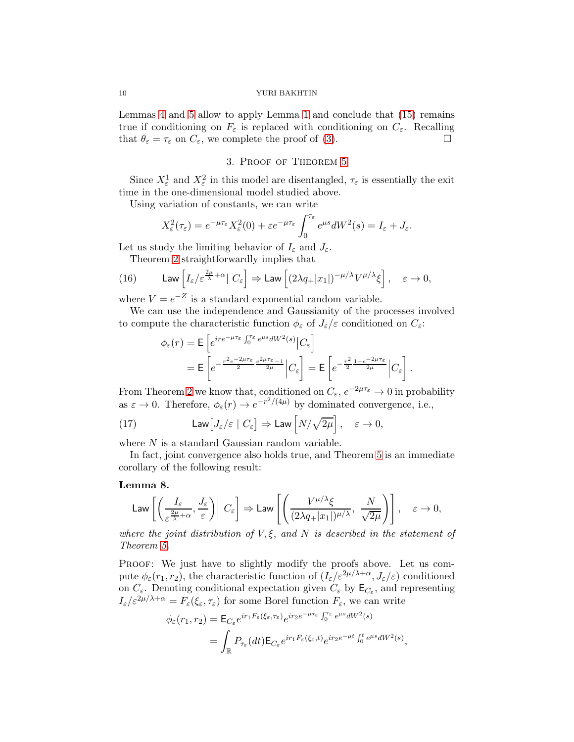Lemmas [4](#page-6-1) and [5](#page-7-3) allow to apply Lemma [1](#page-4-3) and conclude that [\(15\)](#page-8-2) remains true if conditioning on  $F_{\varepsilon}$  is replaced with conditioning on  $C_{\varepsilon}$ . Recalling that  $\theta_{\varepsilon} = \tau_{\varepsilon}$  on  $C_{\varepsilon}$ , we complete the proof of [\(3\)](#page-1-2).

## 3. Proof of Theorem [5](#page-3-0)

<span id="page-9-0"></span>Since  $X_{\varepsilon}^1$  and  $X_{\varepsilon}^2$  in this model are disentangled,  $\tau_{\varepsilon}$  is essentially the exit time in the one-dimensional model studied above.

Using variation of constants, we can write

$$
X_{\varepsilon}^{2}(\tau_{\varepsilon})=e^{-\mu\tau_{\varepsilon}}X_{\varepsilon}^{2}(0)+\varepsilon e^{-\mu\tau_{\varepsilon}}\int_{0}^{\tau_{\varepsilon}}e^{\mu s}dW^{2}(s)=I_{\varepsilon}+J_{\varepsilon}.
$$

Let us study the limiting behavior of  $I_{\varepsilon}$  and  $J_{\varepsilon}$ .

<span id="page-9-1"></span>Theorem [2](#page-1-1) straightforwardly implies that

(16) 
$$
\mathsf{Law}\left[I_\varepsilon/\varepsilon^{\frac{2\mu}{\lambda}+\alpha}|\,C_\varepsilon\right] \Rightarrow \mathsf{Law}\left[(2\lambda q_+|x_1|)^{-\mu/\lambda}V^{\mu/\lambda}\xi\right], \quad \varepsilon \to 0,
$$

where  $V = e^{-Z}$  is a standard exponential random variable.

We can use the independence and Gaussianity of the processes involved to compute the characteristic function  $\phi_{\varepsilon}$  of  $J_{\varepsilon}/\varepsilon$  conditioned on  $C_{\varepsilon}$ :

$$
\phi_{\varepsilon}(r) = \mathsf{E}\left[e^{ire^{-\mu\tau_{\varepsilon}}\int_{0}^{\tau_{\varepsilon}} e^{\mu s} dW^{2}(s)}|C_{\varepsilon}\right]
$$

$$
= \mathsf{E}\left[e^{-\frac{r^{2}e^{-2\mu\tau_{\varepsilon}}}{2}e^{2\mu\tau_{\varepsilon}-1}}|C_{\varepsilon}\right] = \mathsf{E}\left[e^{-\frac{r^{2}}{2} \frac{1-e^{-2\mu\tau_{\varepsilon}}}{2\mu}}|C_{\varepsilon}\right].
$$

From Theorem [2](#page-1-1) we know that, conditioned on  $C_{\varepsilon}$ ,  $e^{-2\mu\tau_{\varepsilon}} \to 0$  in probability as  $\varepsilon \to 0$ . Therefore,  $\phi_{\varepsilon}(r) \to e^{-r^2/(4\mu)}$  by dominated convergence, i.e.,

(17) 
$$
\operatorname{Law}[J_{\varepsilon}/\varepsilon \mid C_{\varepsilon}] \Rightarrow \operatorname{Law}[N/\sqrt{2\mu}], \quad \varepsilon \to 0,
$$

where  $N$  is a standard Gaussian random variable.

In fact, joint convergence also holds true, and Theorem [5](#page-3-0) is an immediate corollary of the following result:

### Lemma 8.

Law 
$$
\left[\left(\frac{I_{\varepsilon}}{\varepsilon^{\frac{2\mu}{\lambda}+\alpha}}, \frac{J_{\varepsilon}}{\varepsilon}\right) \middle| C_{\varepsilon}\right] \Rightarrow \text{Law } \left[\left(\frac{V^{\mu/\lambda}\xi}{(2\lambda q_{+}|x_{1}|)^{\mu/\lambda}}, \frac{N}{\sqrt{2\mu}}\right)\right], \quad \varepsilon \to 0,
$$

where the joint distribution of  $V, \xi$ , and N is described in the statement of Theorem [5.](#page-3-0)

Proof: We just have to slightly modify the proofs above. Let us compute  $\phi_{\varepsilon}(r_1,r_2)$ , the characteristic function of  $(I_{\varepsilon}/\varepsilon^{2\mu/\lambda+\alpha}, J_{\varepsilon}/\varepsilon)$  conditioned on  $C_{\varepsilon}$ . Denoting conditional expectation given  $C_{\varepsilon}$  by  $\mathsf{E}_{C_{\varepsilon}}$ , and representing  $I_{\varepsilon}/\varepsilon^{2\mu/\lambda+\alpha} = F_{\varepsilon}(\xi_{\varepsilon}, \tau_{\varepsilon})$  for some Borel function  $F_{\varepsilon}$ , we can write

$$
\begin{split} \phi_{\varepsilon}(r_1, r_2) &= \mathsf{E}_{C_{\varepsilon}} e^{ir_1 F_{\varepsilon}(\xi_{\varepsilon}, \tau_{\varepsilon})} e^{ir_2 e^{-\mu \tau_{\varepsilon}}} \int_0^{\tau_{\varepsilon}} e^{\mu s} dW^2(s) \\ &= \int_{\mathbb{R}} P_{\tau_{\varepsilon}}(dt) \mathsf{E}_{C_{\varepsilon}} e^{ir_1 F_{\varepsilon}(\xi_{\varepsilon}, t)} e^{ir_2 e^{-\mu t}} \int_0^t e^{\mu s} dW^2(s), \end{split}
$$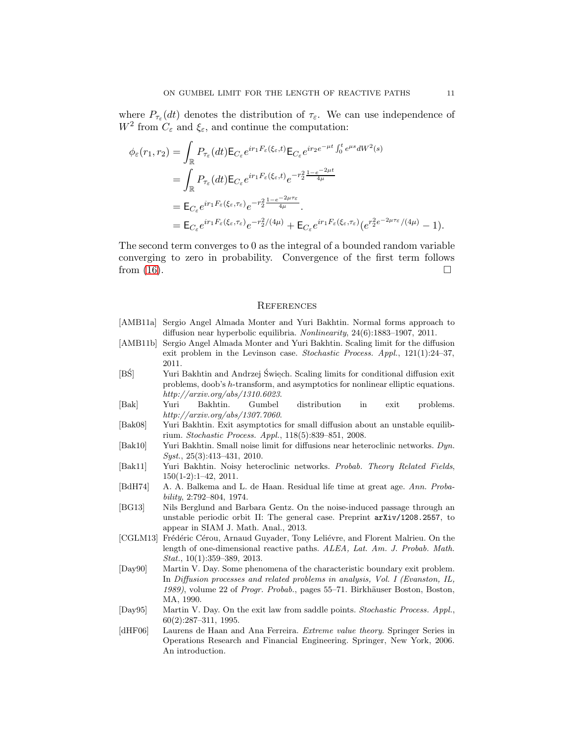where  $P_{\tau_{\varepsilon}}(dt)$  denotes the distribution of  $\tau_{\varepsilon}$ . We can use independence of  $W^2$  from  $C_{\varepsilon}$  and  $\xi_{\varepsilon}$ , and continue the computation:

$$
\begin{split} \phi_{\varepsilon}(r_{1},r_{2}) &= \int_{\mathbb{R}} P_{\tau_{\varepsilon}}(dt) \mathsf{E}_{C_{\varepsilon}} e^{ir_{1}F_{\varepsilon}(\xi_{\varepsilon},t)} \mathsf{E}_{C_{\varepsilon}} e^{ir_{2}e^{-\mu t} \int_{0}^{t} e^{\mu s} dW^{2}(s)} \\ &= \int_{\mathbb{R}} P_{\tau_{\varepsilon}}(dt) \mathsf{E}_{C_{\varepsilon}} e^{ir_{1}F_{\varepsilon}(\xi_{\varepsilon},t)} e^{-r_{2}^{2} \frac{1-e^{-2\mu t}}{4\mu}} \\ &= \mathsf{E}_{C_{\varepsilon}} e^{ir_{1}F_{\varepsilon}(\xi_{\varepsilon},\tau_{\varepsilon})} e^{-r_{2}^{2} \frac{1-e^{-2\mu \tau_{\varepsilon}}}{4\mu}} . \\ &= \mathsf{E}_{C_{\varepsilon}} e^{ir_{1}F_{\varepsilon}(\xi_{\varepsilon},\tau_{\varepsilon})} e^{-r_{2}^{2}/(4\mu)} + \mathsf{E}_{C_{\varepsilon}} e^{ir_{1}F_{\varepsilon}(\xi_{\varepsilon},\tau_{\varepsilon})} (e^{r_{2}^{2}e^{-2\mu \tau_{\varepsilon}}/(4\mu)} - 1). \end{split}
$$

The second term converges to 0 as the integral of a bounded random variable converging to zero in probability. Convergence of the first term follows from  $(16)$ .

#### **REFERENCES**

- <span id="page-10-9"></span>[AMB11a] Sergio Angel Almada Monter and Yuri Bakhtin. Normal forms approach to diffusion near hyperbolic equilibria. Nonlinearity, 24(6):1883–1907, 2011.
- <span id="page-10-10"></span>[AMB11b] Sergio Angel Almada Monter and Yuri Bakhtin. Scaling limit for the diffusion exit problem in the Levinson case. Stochastic Process. Appl., 121(1):24–37, 2011.
- <span id="page-10-12"></span> $[\mbox{B}\dot{\mbox{S}}] \qquad \quad \mbox{Yuri Bakhtin and Andrzej} \ \dot{\mbox{S}} \mbox{wiech. Scaling limits for conditional diffusion exit}$ problems, doob's h-transform, and asymptotics for nonlinear elliptic equations. http://arxiv.org/abs/1310.6023.
- <span id="page-10-5"></span>[Bak] Yuri Bakhtin. Gumbel distribution in exit problems. http://arxiv.org/abs/1307.7060.
- <span id="page-10-7"></span>[Bak08] Yuri Bakhtin. Exit asymptotics for small diffusion about an unstable equilibrium. Stochastic Process. Appl., 118(5):839–851, 2008.
- <span id="page-10-11"></span>[Bak10] Yuri Bakhtin. Small noise limit for diffusions near heteroclinic networks. Dyn. Syst., 25(3):413–431, 2010.
- <span id="page-10-8"></span>[Bak11] Yuri Bakhtin. Noisy heteroclinic networks. Probab. Theory Related Fields, 150(1-2):1–42, 2011.
- <span id="page-10-6"></span>[BdH74] A. A. Balkema and L. de Haan. Residual life time at great age. Ann. Probability, 2:792–804, 1974.
- <span id="page-10-2"></span>[BG13] Nils Berglund and Barbara Gentz. On the noise-induced passage through an unstable periodic orbit II: The general case. Preprint arXiv/1208.2557, to appear in SIAM J. Math. Anal., 2013.
- <span id="page-10-3"></span>[CGLM13] Frédéric Cérou, Arnaud Guyader, Tony Leliévre, and Florent Malrieu. On the length of one-dimensional reactive paths. ALEA, Lat. Am. J. Probab. Math. Stat., 10(1):359–389, 2013.
- <span id="page-10-1"></span>[Day90] Martin V. Day. Some phenomena of the characteristic boundary exit problem. In Diffusion processes and related problems in analysis, Vol. I (Evanston, IL, 1989), volume 22 of Progr. Probab., pages 55–71. Birkhäuser Boston, Boston, MA, 1990.
- <span id="page-10-4"></span>[Day95] Martin V. Day. On the exit law from saddle points. Stochastic Process. Appl., 60(2):287–311, 1995.
- <span id="page-10-0"></span>[dHF06] Laurens de Haan and Ana Ferreira. Extreme value theory. Springer Series in Operations Research and Financial Engineering. Springer, New York, 2006. An introduction.